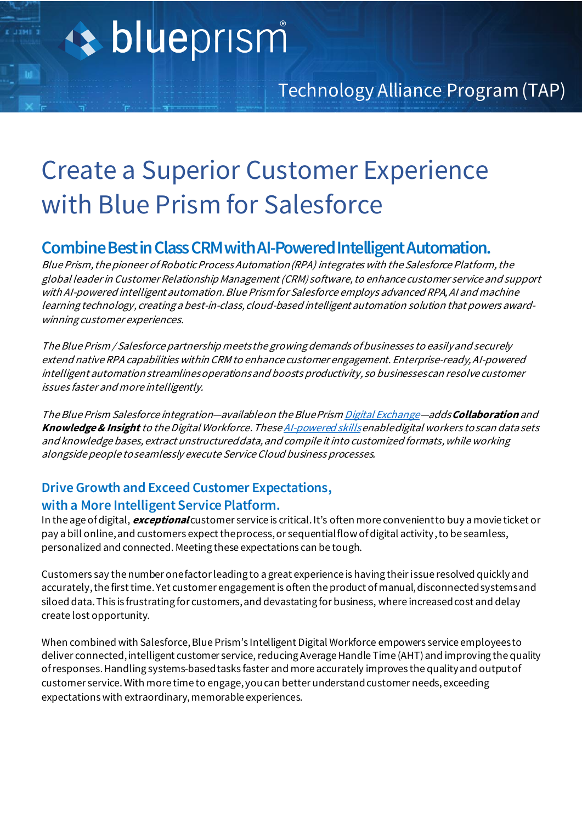## Create a Superior Customer Experience with Blue Prism for Salesforce

### **Combine Best in Class CRM with AI-Powered Intelligent Automation.**

Blue Prism, the pioneer of Robotic Process Automation (RPA) integrates with the Salesforce Platform, the global leader in Customer Relationship Management (CRM) software,to enhance customer service and support with AI-powered intelligent automation. Blue Prism for Salesforce employs advanced RPA, AI and machine learning technology, creating a best-in-class, cloud-based intelligent automation solution that powers awardwinning customer experiences.

The Blue Prism / Salesforce partnership meetsthe growing demands of businesses to easilyand securely extend native RPA capabilities within CRM to enhance customer engagement. Enterprise-ready, AI-powered intelligent automationstreamlinesoperationsand boosts productivity, so businesses can resolve customer issues faster and more intelligently.

The Blue Prism Salesforce integration—available on the Blue Pris[m Digital Exchange](https://digitalexchange.blueprism.com/dx/search?keyword=salesforce)—adds **Collaboration** and **Knowledge& Insight** to the Digital Workforce. Thes[e AI-powered skills](https://www.blueprism.com/product/skills/)enable digital workers to scan data sets and knowledge bases, extract unstructured data, and compile it into customized formats, while working alongside people to seamlessly execute Service Cloud business processes.

#### **Drive Growth and Exceed Customer Expectations, with a More Intelligent Service Platform.**

In the age of digital, **exceptional** customer service is critical. It's often more convenient to buy a movie ticket or pay a bill online, and customers expect the process, or sequential flow of digital activity,to be seamless, personalized and connected. Meeting these expectations can be tough.

Customers say the number one factor leading to a great experience is having their issue resolved quickly and accurately, the first time.Yet customer engagement is often the product of manual, disconnected systems and siloed data. This is frustrating for customers, and devastating for business, where increased cost and delay create lost opportunity.

When combined with Salesforce, Blue Prism's Intelligent Digital Workforce empowers service employees to deliver connected, intelligent customer service, reducing Average Handle Time (AHT) and improving the quality of responses. Handling systems-based tasks faster and more accurately improves the quality and output of customer service. With more time to engage, you can better understand customer needs, exceeding expectations with extraordinary, memorable experiences.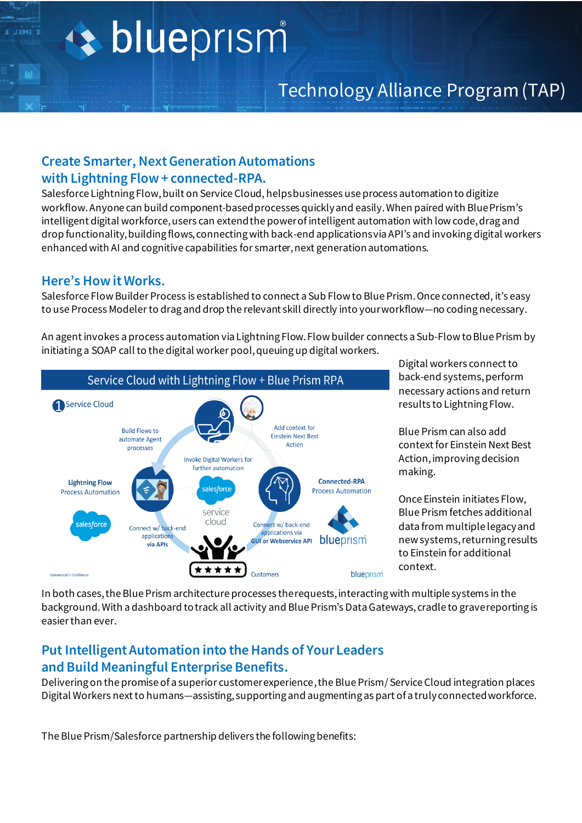# + blueprism

#### **Create Smarter, Next Generation Automations with Lightning Flow + connected-RPA.**

Salesforce Lightning Flow, built on Service Cloud, helps businesses use process automationto digitize workflow. Anyone can build component-based processes quickly and easily.When paired with Blue Prism's intelligent digital workforce, users can extend the power of intelligent automation with low code, drag and drop functionality, building flows, connecting with back-end applications via API's and invoking digital workers enhanced with AI and cognitive capabilities for smarter, next generationautomations.

#### **Here's How it Works.**

Salesforce Flow Builder Process is established to connect a Sub Flow to Blue Prism. Once connected, it's easy to use Process Modelerto drag and drop the relevant skill directly into your workflow—no coding necessary.

An agent invokes a process automation via Lightning Flow. Flow builder connects a Sub-Flow to Blue Prism by initiating a SOAP call to the digital worker pool, queuing up digital workers.



Digital workers connect to back-end systems, perform necessary actions and return results to Lightning Flow.

Blue Prism can also add context for Einstein Next Best Action, improving decision making.

Once Einstein initiates Flow, Blue Prism fetches additional data from multiple legacy and new systems, returning results to Einstein for additional context.

In both cases, the Blue Prism architecture processes the requests, interacting with multiple systems in the background. With a dashboard to track all activity and Blue Prism's Data Gateways, cradle to grave reporting is easier than ever.

#### **Put Intelligent Automation into the Hands of Your Leaders and Build Meaningful Enterprise Benefits.**

Delivering on the promise of a superior customer experience, the Blue Prism/ Service Cloud integration places Digital Workers next to humans—assisting, supporting and augmenting as part of a truly connected workforce.

The Blue Prism/Salesforce partnership delivers the following benefits: